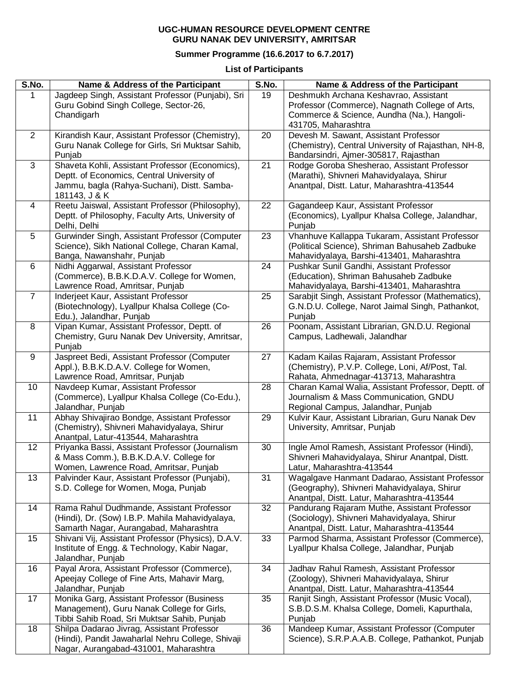## **UGC-HUMAN RESOURCE DEVELOPMENT CENTRE GURU NANAK DEV UNIVERSITY, AMRITSAR**

## **Summer Programme (16.6.2017 to 6.7.2017)**

**List of Participants**

| S.No.          | Name & Address of the Participant                  | S.No. | Name & Address of the Participant                   |
|----------------|----------------------------------------------------|-------|-----------------------------------------------------|
|                | Jagdeep Singh, Assistant Professor (Punjabi), Sri  | 19    | Deshmukh Archana Keshavrao, Assistant               |
|                | Guru Gobind Singh College, Sector-26,              |       | Professor (Commerce), Nagnath College of Arts,      |
|                | Chandigarh                                         |       | Commerce & Science, Aundha (Na.), Hangoli-          |
|                |                                                    |       | 431705, Maharashtra                                 |
| 2              | Kirandish Kaur, Assistant Professor (Chemistry),   | 20    | Devesh M. Sawant, Assistant Professor               |
|                | Guru Nanak College for Girls, Sri Muktsar Sahib,   |       | (Chemistry), Central University of Rajasthan, NH-8, |
|                | Punjab                                             |       | Bandarsindri, Ajmer-305817, Rajasthan               |
| 3              | Shaveta Kohli, Assistant Professor (Economics),    | 21    | Rodge Goroba Shesherao, Assistant Professor         |
|                | Deptt. of Economics, Central University of         |       | (Marathi), Shivneri Mahavidyalaya, Shirur           |
|                | Jammu, bagla (Rahya-Suchani), Distt. Samba-        |       | Anantpal, Distt. Latur, Maharashtra-413544          |
|                | 181143, J & K                                      |       |                                                     |
| 4              | Reetu Jaiswal, Assistant Professor (Philosophy),   | 22    | Gagandeep Kaur, Assistant Professor                 |
|                | Deptt. of Philosophy, Faculty Arts, University of  |       | (Economics), Lyallpur Khalsa College, Jalandhar,    |
|                | Delhi, Delhi                                       |       | Punjab                                              |
| 5              | Gurwinder Singh, Assistant Professor (Computer     | 23    | Vhanhuve Kallappa Tukaram, Assistant Professor      |
|                | Science), Sikh National College, Charan Kamal,     |       | (Political Science), Shriman Bahusaheb Zadbuke      |
|                | Banga, Nawanshahr, Punjab                          |       | Mahavidyalaya, Barshi-413401, Maharashtra           |
| 6              | Nidhi Aggarwal, Assistant Professor                | 24    | Pushkar Sunil Gandhi, Assistant Professor           |
|                | (Commerce), B.B.K.D.A.V. College for Women,        |       | (Education), Shriman Bahusaheb Zadbuke              |
|                | Lawrence Road, Amritsar, Punjab                    |       | Mahavidyalaya, Barshi-413401, Maharashtra           |
| $\overline{7}$ | Inderjeet Kaur, Assistant Professor                | 25    | Sarabjit Singh, Assistant Professor (Mathematics),  |
|                | (Biotechnology), Lyallpur Khalsa College (Co-      |       | G.N.D.U. College, Narot Jaimal Singh, Pathankot,    |
|                | Edu.), Jalandhar, Punjab                           |       | Punjab                                              |
| 8              | Vipan Kumar, Assistant Professor, Deptt. of        | 26    | Poonam, Assistant Librarian, GN.D.U. Regional       |
|                | Chemistry, Guru Nanak Dev University, Amritsar,    |       | Campus, Ladhewali, Jalandhar                        |
|                | Punjab                                             |       |                                                     |
| 9              | Jaspreet Bedi, Assistant Professor (Computer       | 27    | Kadam Kailas Rajaram, Assistant Professor           |
|                | Appl.), B.B.K.D.A.V. College for Women,            |       | (Chemistry), P.V.P. College, Loni, Af/Post, Tal.    |
|                | Lawrence Road, Amritsar, Punjab                    |       | Rahata, Ahmednagar-413713, Maharashtra              |
| 10             | Navdeep Kumar, Assistant Professor                 | 28    | Charan Kamal Walia, Assistant Professor, Deptt. of  |
|                | (Commerce), Lyallpur Khalsa College (Co-Edu.),     |       | Journalism & Mass Communication, GNDU               |
|                | Jalandhar, Punjab                                  |       | Regional Campus, Jalandhar, Punjab                  |
| 11             | Abhay Shivajirao Bondge, Assistant Professor       | 29    | Kulvir Kaur, Assistant Librarian, Guru Nanak Dev    |
|                | (Chemistry), Shivneri Mahavidyalaya, Shirur        |       | University, Amritsar, Punjab                        |
|                | Anantpal, Latur-413544, Maharashtra                |       |                                                     |
| 12             | Priyanka Bassi, Assistant Professor (Journalism    | 30    | Ingle Amol Ramesh, Assistant Professor (Hindi),     |
|                | & Mass Comm.), B.B.K.D.A.V. College for            |       | Shivneri Mahavidyalaya, Shirur Anantpal, Distt.     |
|                | Women, Lawrence Road, Amritsar, Punjab             |       | Latur, Maharashtra-413544                           |
| 13             | Palvinder Kaur, Assistant Professor (Punjabi),     | 31    | Wagalgave Hanmant Dadarao, Assistant Professor      |
|                | S.D. College for Women, Moga, Punjab               |       | (Geography), Shivneri Mahavidyalaya, Shirur         |
|                |                                                    |       | Anantpal, Distt. Latur, Maharashtra-413544          |
| 14             | Rama Rahul Dudhmande, Assistant Professor          | 32    | Pandurang Rajaram Muthe, Assistant Professor        |
|                | (Hindi), Dr. (Sow) I.B.P. Mahila Mahavidyalaya,    |       | (Sociology), Shivneri Mahavidyalaya, Shirur         |
|                | Samarth Nagar, Aurangabad, Maharashtra             |       | Anantpal, Distt. Latur, Maharashtra-413544          |
| 15             | Shivani Vij, Assistant Professor (Physics), D.A.V. | 33    | Parmod Sharma, Assistant Professor (Commerce),      |
|                | Institute of Engg. & Technology, Kabir Nagar,      |       | Lyallpur Khalsa College, Jalandhar, Punjab          |
|                | Jalandhar, Punjab                                  |       |                                                     |
| 16             | Payal Arora, Assistant Professor (Commerce),       | 34    | Jadhav Rahul Ramesh, Assistant Professor            |
|                | Apeejay College of Fine Arts, Mahavir Marg,        |       | (Zoology), Shivneri Mahavidyalaya, Shirur           |
|                | Jalandhar, Punjab                                  |       | Anantpal, Distt. Latur, Maharashtra-413544          |
| 17             | Monika Garg, Assistant Professor (Business         | 35    | Ranjit Singh, Assistant Professor (Music Vocal),    |
|                | Management), Guru Nanak College for Girls,         |       | S.B.D.S.M. Khalsa College, Domeli, Kapurthala,      |
|                | Tibbi Sahib Road, Sri Muktsar Sahib, Punjab        |       | Punjab                                              |
| 18             | Shilpa Dadarao Jivrag, Assistant Professor         | 36    | Mandeep Kumar, Assistant Professor (Computer        |
|                | (Hindi), Pandit Jawaharlal Nehru College, Shivaji  |       | Science), S.R.P.A.A.B. College, Pathankot, Punjab   |
|                | Nagar, Aurangabad-431001, Maharashtra              |       |                                                     |